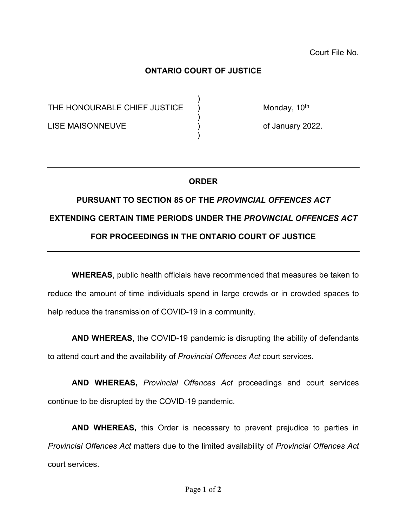Court File No.

## **ONTARIO COURT OF JUSTICE**

)

)

)

THE HONOURABLE CHIEF JUSTICE  $\bigcup_{i=1}^{n}$  Monday, 10<sup>th</sup>

LISE MAISONNEUVE (1999) (1999) (1999) (1999) (1999) (1999) (1999)

## **ORDER**

## **PURSUANT TO SECTION 85 OF THE** *PROVINCIAL OFFENCES ACT* **EXTENDING CERTAIN TIME PERIODS UNDER THE** *PROVINCIAL OFFENCES ACT* **FOR PROCEEDINGS IN THE ONTARIO COURT OF JUSTICE**

**WHEREAS**, public health officials have recommended that measures be taken to reduce the amount of time individuals spend in large crowds or in crowded spaces to help reduce the transmission of COVID-19 in a community.

**AND WHEREAS**, the COVID-19 pandemic is disrupting the ability of defendants to attend court and the availability of *Provincial Offences Act* court services.

**AND WHEREAS,** *Provincial Offences Act* proceedings and court services continue to be disrupted by the COVID-19 pandemic.

**AND WHEREAS,** this Order is necessary to prevent prejudice to parties in *Provincial Offences Act* matters due to the limited availability of *Provincial Offences Act* court services.